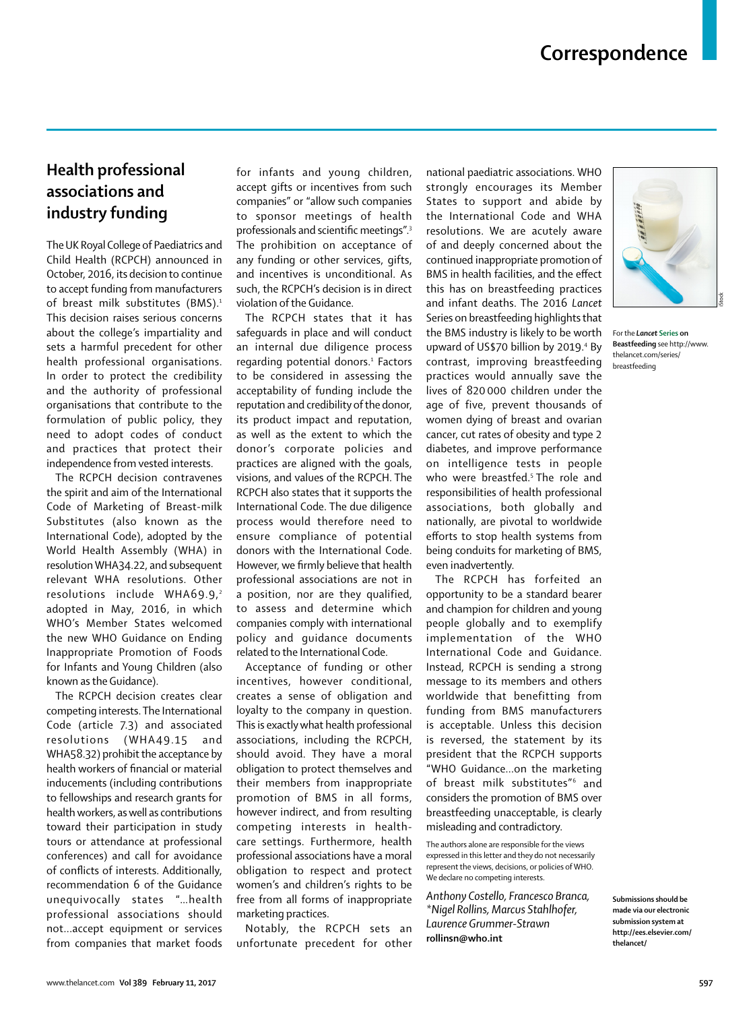# **Health professional associations and industry funding**

The UK Royal College of Paediatrics and Child Health (RCPCH) announced in October, 2016, its decision to continue to accept funding from manufacturers of breast milk substitutes (BMS).<sup>1</sup> This decision raises serious concerns about the college's impartiality and sets a harmful precedent for other health professional organisations. In order to protect the credibility and the authority of professional organisations that contribute to the formulation of public policy, they need to adopt codes of conduct and practices that protect their independence from vested interests.

The RCPCH decision contravenes the spirit and aim of the International Code of Marketing of Breast-milk Substitutes (also known as the International Code), adopted by the World Health Assembly (WHA) in resolution WHA34.22, and subsequent relevant WHA resolutions. Other resolutions include WHA69.9,2 adopted in May, 2016, in which WHO's Member States welcomed the new WHO Guidance on Ending Inappropriate Promotion of Foods for Infants and Young Children (also known as the Guidance).

The RCPCH decision creates clear competing interests. The International Code (article 7.3) and associated resolutions (WHA49.15 and WHA58.32) prohibit the acceptance by health workers of financial or material inducements (including contributions to fellowships and research grants for health workers, as well as contributions toward their participation in study tours or attendance at professional conferences) and call for avoidance of conflicts of interests. Additionally, recommendation 6 of the Guidance unequivocally states "…health professional associations should not...accept equipment or services from companies that market foods for infants and young children, accept gifts or incentives from such companies" or "allow such companies to sponsor meetings of health professionals and scientific meetings".<sup>3</sup> The prohibition on acceptance of any funding or other services, gifts, and incentives is unconditional. As such, the RCPCH's decision is in direct violation of the Guidance.

The RCPCH states that it has safeguards in place and will conduct an internal due diligence process regarding potential donors.<sup>1</sup> Factors to be considered in assessing the acceptability of funding include the reputation and credibility of the donor, its product impact and reputation, as well as the extent to which the donor's corporate policies and practices are aligned with the goals, visions, and values of the RCPCH. The RCPCH also states that it supports the International Code. The due diligence process would therefore need to ensure compliance of potential donors with the International Code. However, we firmly believe that health professional associations are not in a position, nor are they qualified, to assess and determine which companies comply with international policy and guidance documents related to the International Code.

Acceptance of funding or other incentives, however conditional, creates a sense of obligation and loyalty to the company in question. This is exactly what health professional associations, including the RCPCH, should avoid. They have a moral obligation to protect themselves and their members from inappropriate promotion of BMS in all forms, however indirect, and from resulting competing interests in healthcare settings. Furthermore, health professional associations have a moral obligation to respect and protect women's and children's rights to be free from all forms of inappropriate marketing practices.

Notably, the RCPCH sets an unfortunate precedent for other

national paediatric associations. WHO strongly encourages its Member States to support and abide by the International Code and WHA resolutions. We are acutely aware of and deeply concerned about the continued inappropriate promotion of BMS in health facilities, and the effect this has on breastfeeding practices and infant deaths. The 2016 *Lancet* Series on breastfeeding highlights that the BMS industry is likely to be worth upward of US\$70 billion by 2019.<sup>4</sup> By contrast, improving breastfeeding practices would annually save the lives of 820 000 children under the age of five, prevent thousands of women dying of breast and ovarian cancer, cut rates of obesity and type 2 diabetes, and improve performance on intelligence tests in people who were breastfed.<sup>5</sup> The role and responsibilities of health professional associations, both globally and nationally, are pivotal to worldwide efforts to stop health systems from being conduits for marketing of BMS, even inadvertently.

The RCPCH has forfeited an opportunity to be a standard bearer and champion for children and young people globally and to exemplify implementation of the WHO International Code and Guidance. Instead, RCPCH is sending a strong message to its members and others worldwide that benefitting from funding from BMS manufacturers is acceptable. Unless this decision is reversed, the statement by its president that the RCPCH supports "WHO Guidance...on the marketing of breast milk substitutes"<sup>6</sup> and considers the promotion of BMS over breastfeeding unacceptable, is clearly misleading and contradictory.

The authors alone are responsible for the views expressed in this letter and they do not necessarily represent the views, decisions, or policies of WHO. We declare no competing interests.

*Anthony Costello, Francesco Branca, \*Nigel Rollins, Marcus Stahlhofer, Laurence Grummer-Strawn* **rollinsn@who.int**



For the *Lancet* **Series on Beastfeeding** see http://www. thelancet.com/series/ breastfeeding

**Submissions should be made via our electronic submission system at http://ees.elsevier.com/ thelancet/**